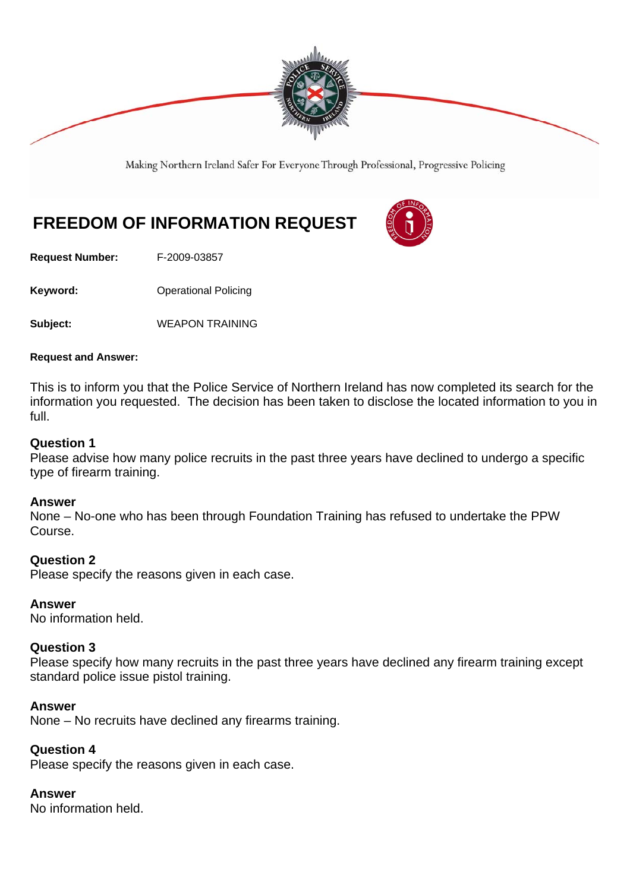

Making Northern Ireland Safer For Everyone Through Professional, Progressive Policing

# **FREEDOM OF INFORMATION REQUEST**



**Request Number:** F-2009-03857

**Keyword: Conservery Operational Policing** 

**Subject:** WEAPON TRAINING

#### **Request and Answer:**

This is to inform you that the Police Service of Northern Ireland has now completed its search for the information you requested. The decision has been taken to disclose the located information to you in full.

### **Question 1**

Please advise how many police recruits in the past three years have declined to undergo a specific type of firearm training.

#### **Answer**

None – No-one who has been through Foundation Training has refused to undertake the PPW Course.

#### **Question 2**

Please specify the reasons given in each case.

#### **Answer**

No information held.

#### **Question 3**

Please specify how many recruits in the past three years have declined any firearm training except standard police issue pistol training.

#### **Answer**

None – No recruits have declined any firearms training.

## **Question 4**

Please specify the reasons given in each case.

#### **Answer**

No information held.